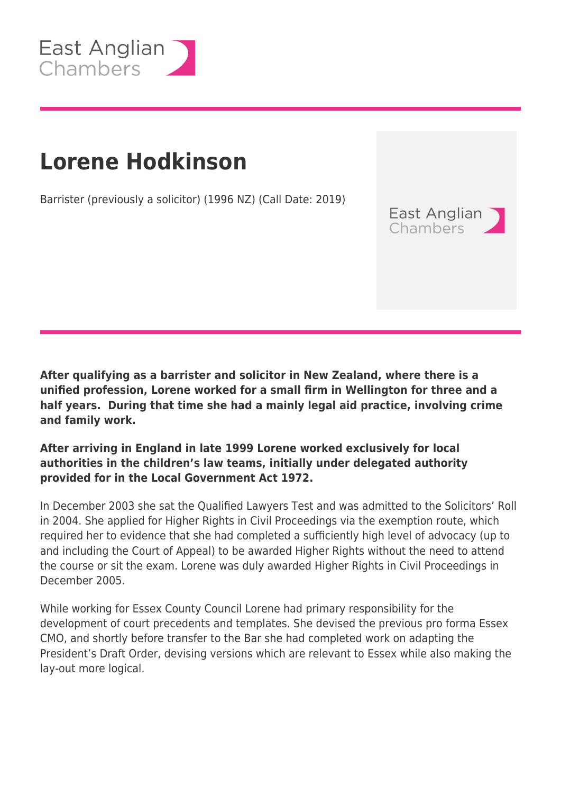

## **Lorene Hodkinson**

Barrister (previously a solicitor) (1996 NZ) (Call Date: 2019)

**After qualifying as a barrister and solicitor in New Zealand, where there is a unified profession, Lorene worked for a small firm in Wellington for three and a half years. During that time she had a mainly legal aid practice, involving crime and family work.**

East Anglian **Chambers** 

## **After arriving in England in late 1999 Lorene worked exclusively for local authorities in the children's law teams, initially under delegated authority provided for in the Local Government Act 1972.**

In December 2003 she sat the Qualified Lawyers Test and was admitted to the Solicitors' Roll in 2004. She applied for Higher Rights in Civil Proceedings via the exemption route, which required her to evidence that she had completed a sufficiently high level of advocacy (up to and including the Court of Appeal) to be awarded Higher Rights without the need to attend the course or sit the exam. Lorene was duly awarded Higher Rights in Civil Proceedings in December 2005.

While working for Essex County Council Lorene had primary responsibility for the development of court precedents and templates. She devised the previous pro forma Essex CMO, and shortly before transfer to the Bar she had completed work on adapting the President's Draft Order, devising versions which are relevant to Essex while also making the lay-out more logical.